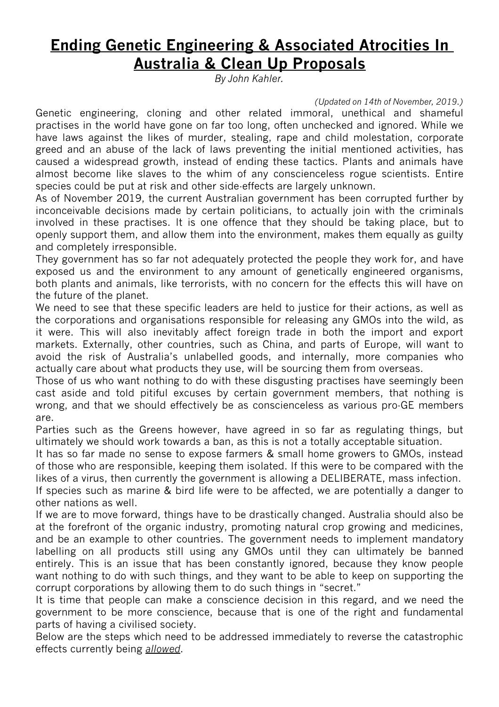## **Ending Genetic Engineering & Associated Atrocities In Australia & Clean Up Proposals**

*By John Kahler.*

*(Updated on 14th of November, 2019.)*

Genetic engineering, cloning and other related immoral, unethical and shameful practises in the world have gone on far too long, often unchecked and ignored. While we have laws against the likes of murder, stealing, rape and child molestation, corporate greed and an abuse of the lack of laws preventing the initial mentioned activities, has caused a widespread growth, instead of ending these tactics. Plants and animals have almost become like slaves to the whim of any conscienceless rogue scientists. Entire species could be put at risk and other side-effects are largely unknown.

As of November 2019, the current Australian government has been corrupted further by inconceivable decisions made by certain politicians, to actually join with the criminals involved in these practises. It is one offence that they should be taking place, but to openly support them, and allow them into the environment, makes them equally as guilty and completely irresponsible.

They government has so far not adequately protected the people they work for, and have exposed us and the environment to any amount of genetically engineered organisms, both plants and animals, like terrorists, with no concern for the effects this will have on the future of the planet.

We need to see that these specific leaders are held to justice for their actions, as well as the corporations and organisations responsible for releasing any GMOs into the wild, as it were. This will also inevitably affect foreign trade in both the import and export markets. Externally, other countries, such as China, and parts of Europe, will want to avoid the risk of Australia's unlabelled goods, and internally, more companies who actually care about what products they use, will be sourcing them from overseas.

Those of us who want nothing to do with these disgusting practises have seemingly been cast aside and told pitiful excuses by certain government members, that nothing is wrong, and that we should effectively be as conscienceless as various pro-GE members are.

Parties such as the Greens however, have agreed in so far as regulating things, but ultimately we should work towards a ban, as this is not a totally acceptable situation.

It has so far made no sense to expose farmers & small home growers to GMOs, instead of those who are responsible, keeping them isolated. If this were to be compared with the likes of a virus, then currently the government is allowing a DELIBERATE, mass infection.

If species such as marine & bird life were to be affected, we are potentially a danger to other nations as well.

If we are to move forward, things have to be drastically changed. Australia should also be at the forefront of the organic industry, promoting natural crop growing and medicines, and be an example to other countries. The government needs to implement mandatory labelling on all products still using any GMOs until they can ultimately be banned entirely. This is an issue that has been constantly ignored, because they know people want nothing to do with such things, and they want to be able to keep on supporting the corrupt corporations by allowing them to do such things in "secret."

It is time that people can make a conscience decision in this regard, and we need the government to be more conscience, because that is one of the right and fundamental parts of having a civilised society.

Below are the steps which need to be addressed immediately to reverse the catastrophic effects currently being *allowed*.